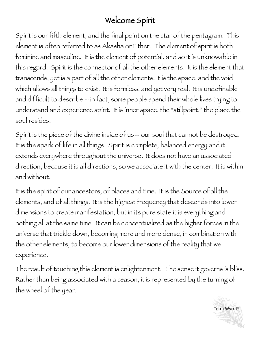## Welcome Spirit

Spirit is our fifth element, and the final point on the star of the pentagram. This element is often referred to as Akasha or Ether. The element of spirit is both feminine and masculine. It is the element of potential, and so it is unknowable in this regard. Spirit is the connector of all the other elements. It is the element that transcends, yet is a part of all the other elements. It is the space, and the void which allows all things to exist. It is formless, and yet very real. It is undefinable and difficult to describe – in fact, some people spend their whole lives trying to understand and experience spirit. It is inner space, the "stillpoint," the place the soul resides.

Spirit is the piece of the divine inside of us – our soul that cannot be destroyed. It is the spark of life in all things. Spirit is complete, balanced energy and it extends everywhere throughout the universe. It does not have an associated direction, because it is all directions, so we associate it with the center. It is within and without.

It is the spirit of our ancestors, of places and time. It is the Source of all the elements, and of all things. It is the highest frequency that descends into lower dimensions to create manifestation, but in its pure state it is everything and nothing all at the same time. It can be conceptualized as the higher forces in the universe that trickle down, becoming more and more dense, in combination with the other elements, to become our lower dimensions of the reality that we experience.

The result of touching this element is enlightenment. The sense it governs is bliss. Rather than being associated with a season, it is represented by the turning of the wheel of the year.